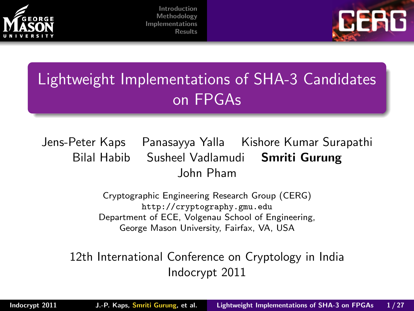



# Lightweight Implementations of SHA-3 Candidates on FPGAs

Jens-Peter Kaps Panasayya Yalla Kishore Kumar Surapathi Bilal Habib Susheel Vadlamudi Smriti Gurung John Pham

> <span id="page-0-0"></span>Cryptographic Engineering Research Group (CERG) <http://cryptography.gmu.edu> Department of ECE, Volgenau School of Engineering, George Mason University, Fairfax, VA, USA

12th International Conference on Cryptology in India Indocrypt 2011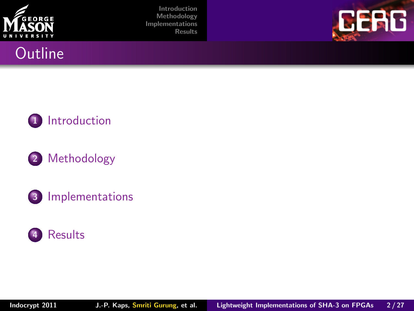







#### 2 [Methodology](#page-7-0)

3 [Implementations](#page-9-0)

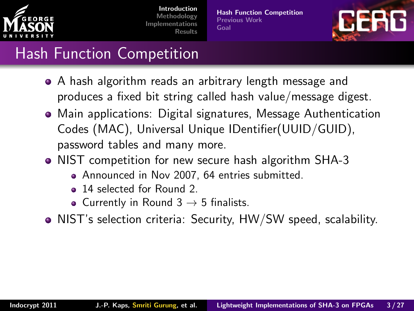

[Hash Function Competition](#page-3-0) [Previous Work](#page-4-0) [Goal](#page-6-0)

<span id="page-2-0"></span>

### Hash Function Competition

- A hash algorithm reads an arbitrary length message and produces a fixed bit string called hash value/message digest.
- Main applications: Digital signatures, Message Authentication Codes (MAC), Universal Unique IDentifier(UUID/GUID), password tables and many more.
- NIST competition for new secure hash algorithm SHA-3
	- Announced in Nov 2007, 64 entries submitted.
	- <sup>2</sup> 14 selected for Round 2.
	- Currently in Round  $3 \rightarrow 5$  finalists.
- NIST's selection criteria: Security, HW/SW speed, scalability.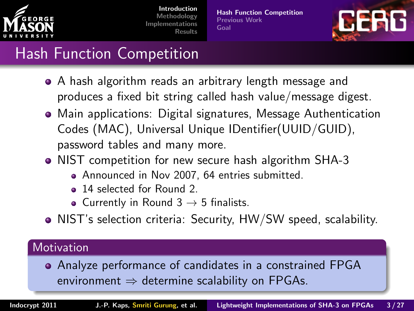

[Hash Function Competition](#page-2-0) [Previous Work](#page-4-0) [Goal](#page-6-0)

<span id="page-3-0"></span>

### Hash Function Competition

- A hash algorithm reads an arbitrary length message and produces a fixed bit string called hash value/message digest.
- Main applications: Digital signatures, Message Authentication Codes (MAC), Universal Unique IDentifier(UUID/GUID), password tables and many more.
- NIST competition for new secure hash algorithm SHA-3
	- Announced in Nov 2007, 64 entries submitted.
	- 14 selected for Round 2.
	- Currently in Round  $3 \rightarrow 5$  finalists.
- NIST's selection criteria: Security, HW/SW speed, scalability.

#### **Motivation**

Analyze performance of candidates in a constrained FPGA environment  $\Rightarrow$  determine scalability on FPGAs.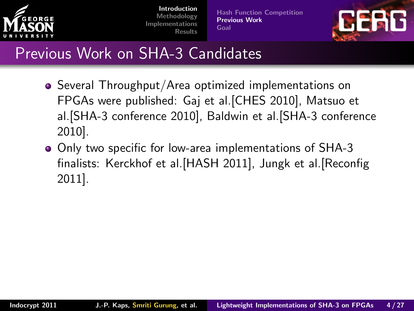

[Hash Function Competition](#page-2-0) [Previous Work](#page-5-0) [Goal](#page-6-0)

<span id="page-4-0"></span>

### Previous Work on SHA-3 Candidates

- Several Throughput/Area optimized implementations on FPGAs were published: Gaj et al.[CHES 2010], Matsuo et al.[SHA-3 conference 2010], Baldwin et al.[SHA-3 conference 2010].
- Only two specific for low-area implementations of SHA-3 finalists: Kerckhof et al.[HASH 2011], Jungk et al.[Reconfig 2011].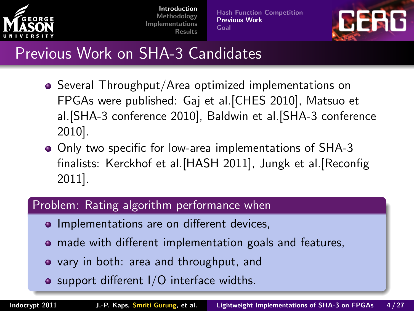

[Hash Function Competition](#page-2-0) [Previous Work](#page-4-0) [Goal](#page-6-0)

<span id="page-5-0"></span>

### Previous Work on SHA-3 Candidates

- Several Throughput/Area optimized implementations on FPGAs were published: Gaj et al.[CHES 2010], Matsuo et al.[SHA-3 conference 2010], Baldwin et al.[SHA-3 conference 2010].
- Only two specific for low-area implementations of SHA-3 finalists: Kerckhof et al.[HASH 2011], Jungk et al.[Reconfig 2011].

#### Problem: Rating algorithm performance when

- Implementations are on different devices,
- made with different implementation goals and features,
- vary in both: area and throughput, and
- $\bullet$  support different  $I/O$  interface widths.

Indocrypt 2011 J.-P. Kaps, Smriti Gurung, et al. [Lightweight Implementations of SHA-3 on FPGAs](#page-0-0) 4 / 27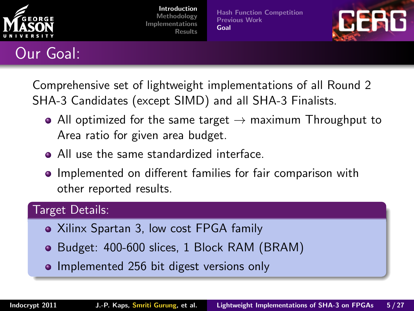

[Hash Function Competition](#page-2-0) [Previous Work](#page-4-0) [Goal](#page-6-0)

<span id="page-6-0"></span>

#### Our Goal:

Comprehensive set of lightweight implementations of all Round 2 SHA-3 Candidates (except SIMD) and all SHA-3 Finalists.

- All optimized for the same target  $\rightarrow$  maximum Throughput to Area ratio for given area budget.
- All use the same standardized interface.
- Implemented on different families for fair comparison with other reported results.

#### Target Details:

- Xilinx Spartan 3, low cost FPGA family
- Budget: 400-600 slices, 1 Block RAM (BRAM)
- Implemented 256 bit digest versions only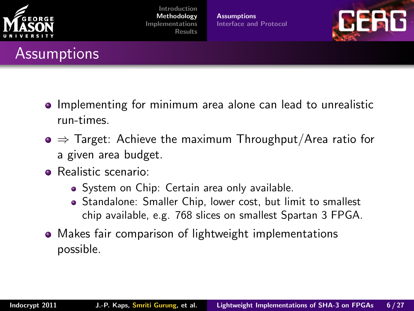

### Assumptions

[Introduction](#page-2-0) [Methodology](#page-7-0) [Implementations](#page-9-0) [Results](#page-19-0)

**[Assumptions](#page-7-0)** [Interface and Protocol](#page-8-0)

<span id="page-7-0"></span>

- Implementing for minimum area alone can lead to unrealistic run-times.
- $\bullet \Rightarrow$  Target: Achieve the maximum Throughput/Area ratio for a given area budget.
- **•** Realistic scenario:
	- System on Chip: Certain area only available.
	- Standalone: Smaller Chip, lower cost, but limit to smallest chip available, e.g. 768 slices on smallest Spartan 3 FPGA.
- Makes fair comparison of lightweight implementations possible.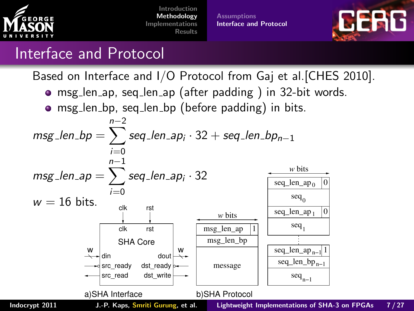

**[Assumptions](#page-7-0)** [Interface and Protocol](#page-8-0)

<span id="page-8-0"></span>

#### Interface and Protocol

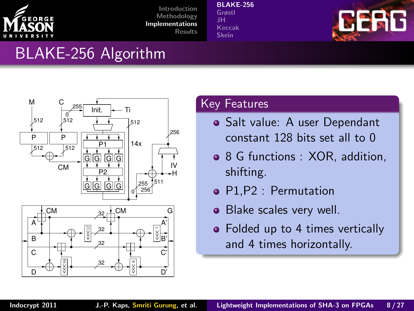

#### [BLAKE-256](#page-9-0)

[Grøstl](#page-11-0) [JH](#page-13-0) [Keccak](#page-15-0) [Skein](#page-17-0)



### BLAKE-256 Algorithm



#### Key Features

- Salt value: A user Dependant constant 128 bits set all to 0
- 8 G functions : XOR, addition, shifting.
- P1,P2 : Permutation
- Blake scales very well.
- <span id="page-9-0"></span>• Folded up to 4 times vertically and 4 times horizontally.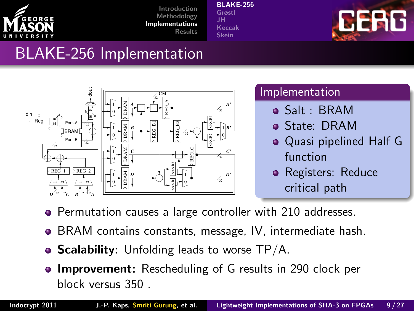

[BLAKE-256](#page-9-0)

[Grøstl](#page-11-0) [JH](#page-13-0) [Keccak](#page-15-0) [Skein](#page-17-0)



### BLAKE-256 Implementation



#### Implementation

- Salt : BRAM
- State: DRAM
- Quasi pipelined Half G function
- Registers: Reduce critical path
- Permutation causes a large controller with 210 addresses.
- BRAM contains constants, message, IV, intermediate hash.
- **Scalability:** Unfolding leads to worse  $TP/A$ .
- **Improvement:** Rescheduling of G results in 290 clock per block versus 350 .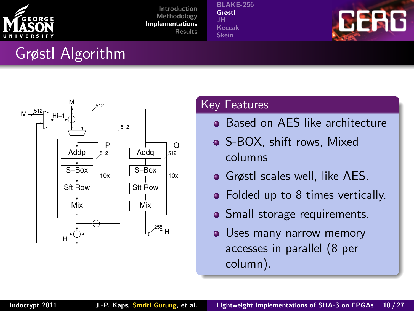

[BLAKE-256](#page-9-0) [Grøstl](#page-11-0) [JH](#page-13-0) [Keccak](#page-15-0) [Skein](#page-17-0)



# Grøstl Algorithm



#### Key Features

- **Based on AES like architecture**
- S-BOX, shift rows, Mixed columns
- Grøstl scales well, like AES.
- Folded up to 8 times vertically.
- Small storage requirements.
- <span id="page-11-0"></span>• Uses many narrow memory accesses in parallel (8 per column).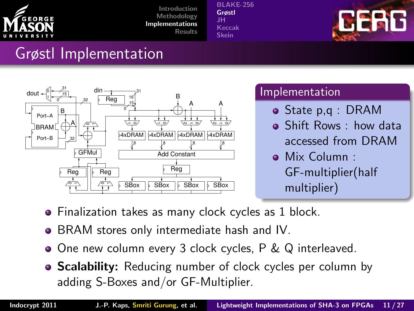

[BLAKE-256](#page-9-0) [Grøstl](#page-11-0) [JH](#page-13-0) [Keccak](#page-15-0) [Skein](#page-17-0)



### Grøstl Implementation



#### Implementation

- State p,q : DRAM
- Shift Rows : how data accessed from DRAM
- Mix Column : GF-multiplier(half multiplier)
- **•** Finalization takes as many clock cycles as 1 block.
- BRAM stores only intermediate hash and IV.
- One new column every 3 clock cycles, P & Q interleaved.
- **Scalability:** Reducing number of clock cycles per column by adding S-Boxes and/or GF-Multiplier.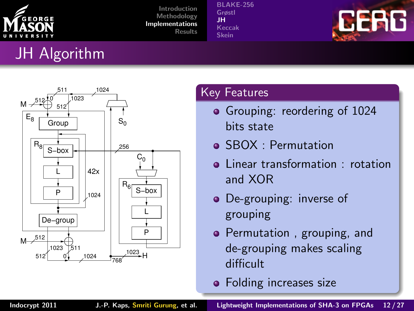

[BLAKE-256](#page-9-0) [Grøstl](#page-11-0) [JH](#page-13-0) [Keccak](#page-15-0) [Skein](#page-17-0)



# JH Algorithm



#### Key Features

- Grouping: reordering of 1024 bits state
- SBOX : Permutation
- **a** Linear transformation : rotation and XOR
- De-grouping: inverse of grouping
- Permutation, grouping, and de-grouping makes scaling difficult
- <span id="page-13-0"></span>**•** Folding increases size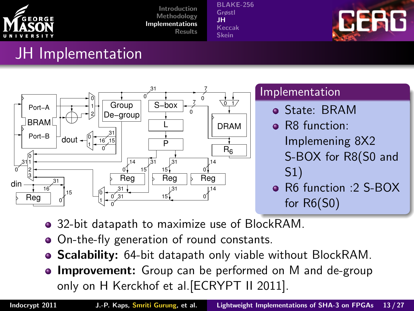

[BLAKE-256](#page-9-0) [Grøstl](#page-11-0) [JH](#page-13-0) [Keccak](#page-15-0) [Skein](#page-17-0)



### JH Implementation



- 32-bit datapath to maximize use of BlockRAM.
- On-the-fly generation of round constants.  $\bullet$
- Scalability: 64-bit datapath only viable without BlockRAM.  $\bullet$
- **Improvement:** Group can be performed on M and de-group only on H Kerckhof et al.[ECRYPT II 2011].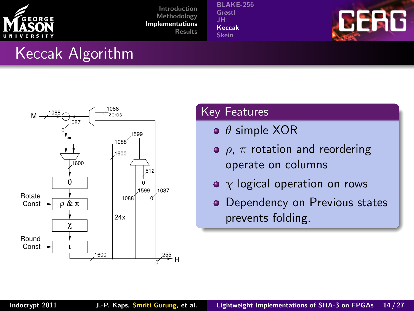

[BLAKE-256](#page-9-0) [Grøstl](#page-11-0) [JH](#page-13-0) [Keccak](#page-15-0) [Skein](#page-17-0)



### Keccak Algorithm



#### **Key Features**

- $\bullet$   $\theta$  simple XOR
- $\bullet$   $\rho$ ,  $\pi$  rotation and reordering operate on columns
- $\bullet$  x logical operation on rows
- <span id="page-15-0"></span>• Dependency on Previous states prevents folding.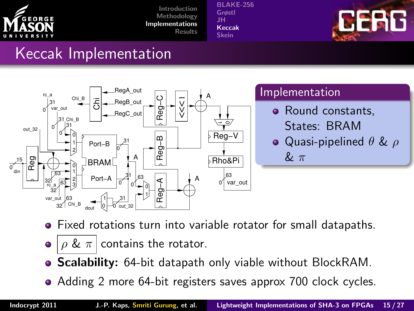

[BLAKE-256](#page-9-0) [Grøstl](#page-11-0) [JH](#page-13-0) [Keccak](#page-15-0) [Skein](#page-17-0)



#### Keccak Implementation



- Fixed rotations turn into variable rotator for small datapaths.
- $\bullet$  |  $\rho$  &  $\pi$  | contains the rotator.
- Scalability: 64-bit datapath only viable without BlockRAM.  $\bullet$
- Adding 2 more 64-bit registers saves approx 700 clock cycles.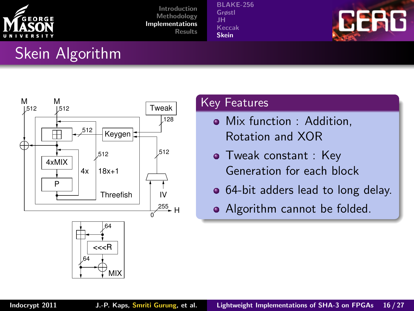

[BLAKE-256](#page-9-0) [Grøstl](#page-11-0) [JH](#page-13-0) [Keccak](#page-15-0) [Skein](#page-17-0)



# Skein Algorithm



#### Key Features

- Mix function : Addition, Rotation and XOR
- Tweak constant : Key Generation for each block
- 64-bit adders lead to long delay.
- <span id="page-17-0"></span>• Algorithm cannot be folded.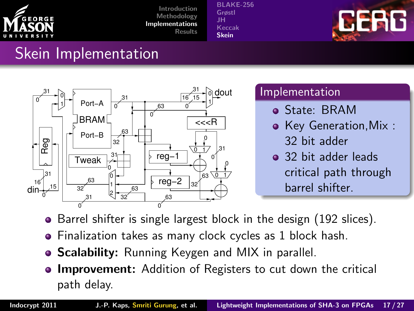

[BLAKE-256](#page-9-0) [Grøstl](#page-11-0) [JH](#page-13-0) [Keccak](#page-15-0) [Skein](#page-17-0)



### Skein Implementation



#### **Implementation**

- State: BRAM
- Key Generation.Mix : 32 bit adder
- <sup>2</sup> 32 bit adder leads critical path through barrel shifter.
- Barrel shifter is single largest block in the design (192 slices).  $\bullet$
- Finalization takes as many clock cycles as 1 block hash.
- Scalability: Running Keygen and MIX in parallel.
- **Improvement:** Addition of Registers to cut down the critical path delay.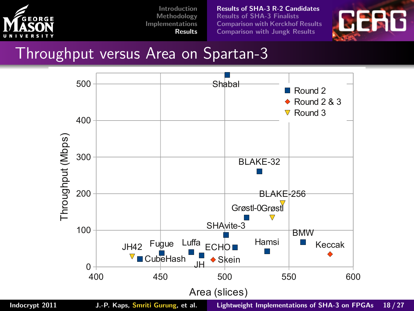

[Results of SHA-3 R-2 Candidates](#page-19-0) [Results of SHA-3 Finalists](#page-21-0) [Comparison with Kerckhof Results](#page-25-0) [Comparison with Jungk Results](#page-26-0)

<span id="page-19-0"></span>

#### Throughput versus Area on Spartan-3



Indocrypt 2011 J.-P. Kaps, Smriti Gurung, et al. [Lightweight Implementations of SHA-3 on FPGAs](#page-0-0) 18 / 27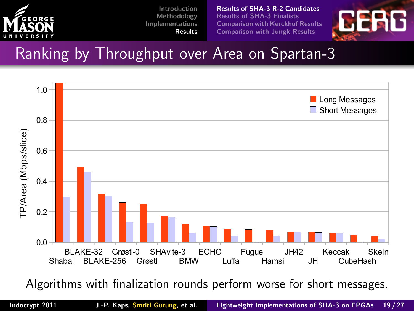

[Results of SHA-3 R-2 Candidates](#page-19-0) [Results of SHA-3 Finalists](#page-21-0) [Comparison with Kerckhof Results](#page-25-0) [Comparison with Jungk Results](#page-26-0)



### Ranking by Throughput over Area on Spartan-3



Algorithms with finalization rounds perform worse for short messages.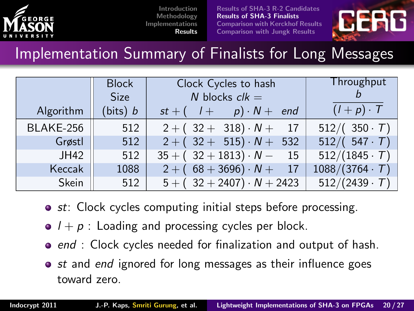

[Results of SHA-3 R-2 Candidates](#page-19-0) [Results of SHA-3 Finalists](#page-21-0) [Comparison with Kerckhof Results](#page-25-0) [Comparison with Jungk Results](#page-26-0)

<span id="page-21-0"></span>

Implementation Summary of Finalists for Long Messages

| Algorithm | <b>Block</b><br>Size<br>(bits) $b$ | Clock Cycles to hash<br>N blocks $clk =$<br>$st + (l + p) \cdot N + end$ | Throughput<br>$(I+p)\cdot T$ |  |
|-----------|------------------------------------|--------------------------------------------------------------------------|------------------------------|--|
| BLAKE-256 | 512                                | $2 + (32 + 318) \cdot N + 17$                                            | $512/ (350 \cdot T)$         |  |
| Grøstl    | 512                                | $2 + (32 + 515) \cdot N + 532$                                           | $512/ (547 \cdot T)$         |  |
| JH42      | 512                                | $35 + (32 + 1813) \cdot N - 15$                                          | $512/(1845 \cdot T)$         |  |
| Keccak    | 1088                               | $2 + (68 + 3696) \cdot N +$<br>17                                        | $1088/(3764 \cdot T)$        |  |
| Skein     | 512                                | $5 + (32 + 2407) \cdot N + 2423$                                         | $512/(2439 \cdot T)$         |  |

- **st:** Clock cycles computing initial steps before processing.
- $\bullet$   $l + p$  : Loading and processing cycles per block.
- $\bullet$  end : Clock cycles needed for finalization and output of hash.
- $\bullet$  st and end ignored for long messages as their influence goes toward zero.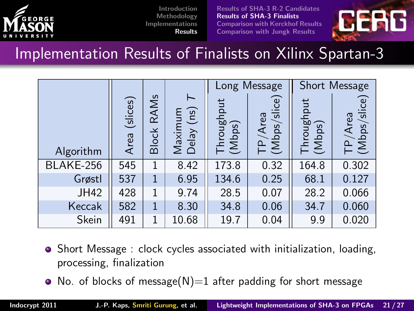

[Results of SHA-3 R-2 Candidates](#page-19-0) [Results of SHA-3 Finalists](#page-21-0) [Comparison with Kerckhof Results](#page-25-0) [Comparison with Jungk Results](#page-26-0)



Implementation Results of Finalists on Xilinx Spartan-3

|           |                  |                      |                                    | Long Message         |                                   | Short Message        |                         |
|-----------|------------------|----------------------|------------------------------------|----------------------|-----------------------------------|----------------------|-------------------------|
| Algorithm | (slices)<br>Area | RAMs<br><b>Block</b> | ⊢<br>(ns)<br>Maximum<br>Delay (ns) | Throughput<br>(Mbps) | <b>GO</b><br>TP/Area<br>(Mbps/sli | Throughput<br>(Mbps) | TP/Area<br>(Mbps/slice) |
| BLAKE-256 | 545              | 1                    | 8.42                               | 173.8                | 0.32                              | 164.8                | 0.302                   |
| Grøstl    | 537              | 1                    | 6.95                               | 134.6                | 0.25                              | 68.1                 | 0.127                   |
| JH42      | 428              | 1                    | 9.74                               | 28.5                 | 0.07                              | 28.2                 | 0.066                   |
| Keccak    | 582              | 1                    | 8.30                               | 34.8                 | 0.06                              | 34.7                 | 0.060                   |
| Skein     | 491              | 1                    | 10.68                              | 19.7                 | 0.04                              | 9.9                  | 0.020                   |

- Short Message : clock cycles associated with initialization, loading, processing, finalization
- No. of blocks of message( $N$ )=1 after padding for short message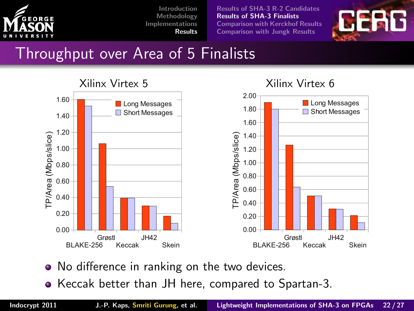

[Results of SHA-3 R-2 Candidates](#page-19-0) [Results of SHA-3 Finalists](#page-21-0) [Comparison with Kerckhof Results](#page-25-0) [Comparison with Jungk Results](#page-26-0)



### Throughput over Area of 5 Finalists



#### Xilinx Virtex 6

- No difference in ranking on the two devices.
- Keccak better than JH here, compared to Spartan-3.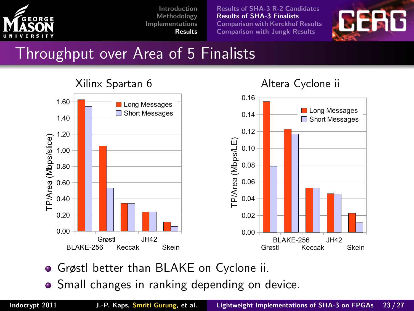

[Results of SHA-3 R-2 Candidates](#page-19-0) [Results of SHA-3 Finalists](#page-21-0) [Comparison with Kerckhof Results](#page-25-0) [Comparison with Jungk Results](#page-26-0)



### Throughput over Area of 5 Finalists



Altera Cyclone ii

- Grøstl better than BLAKE on Cyclone ii.
- Small changes in ranking depending on device.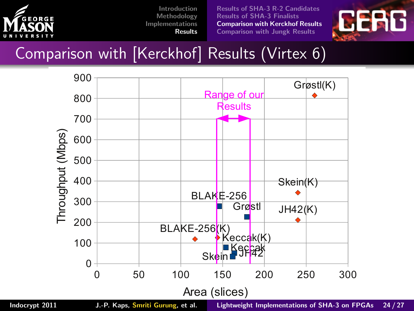

[Results of SHA-3 R-2 Candidates](#page-19-0) [Results of SHA-3 Finalists](#page-21-0) [Comparison with Kerckhof Results](#page-25-0) [Comparison with Jungk Results](#page-26-0)



## Comparison with [Kerckhof] Results (Virtex 6)



<span id="page-25-0"></span>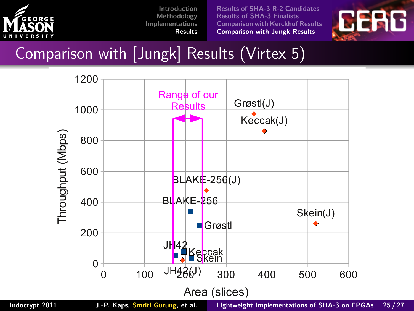

[Results of SHA-3 R-2 Candidates](#page-19-0) [Results of SHA-3 Finalists](#page-21-0) [Comparison with Kerckhof Results](#page-25-0) [Comparison with Jungk Results](#page-26-0)



### Comparison with [Jungk] Results (Virtex 5)



<span id="page-26-0"></span>

Indocrypt 2011 J.-P. Kaps, Smriti Gurung, et al. [Lightweight Implementations of SHA-3 on FPGAs](#page-0-0) 25 / 27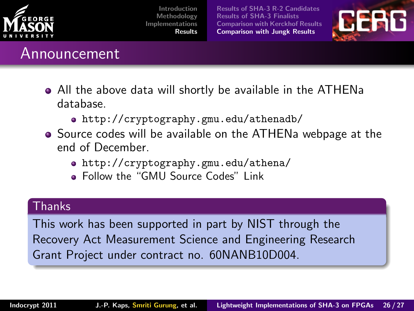

[Results of SHA-3 R-2 Candidates](#page-19-0) [Results of SHA-3 Finalists](#page-21-0) [Comparison with Kerckhof Results](#page-25-0) [Comparison with Jungk Results](#page-26-0)



#### Announcement

- All the above data will shortly be available in the ATHENa database.
	- <http://cryptography.gmu.edu/athenadb/>
- Source codes will be available on the ATHENa webpage at the end of December.
	- <http://cryptography.gmu.edu/athena/>
	- **Follow the "GMU Source Codes" Link**

#### Thanks

This work has been supported in part by NIST through the Recovery Act Measurement Science and Engineering Research Grant Project under contract no. 60NANB10D004.